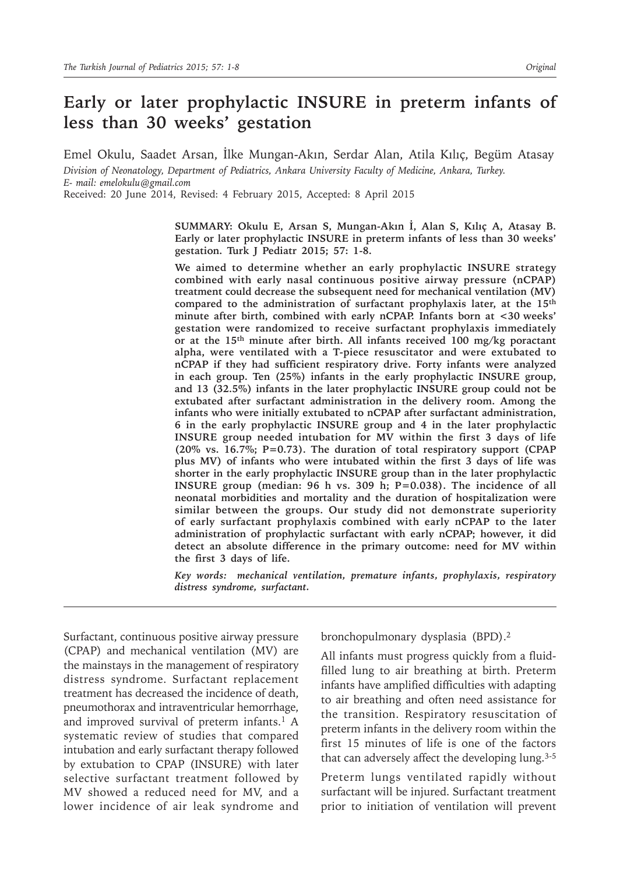# **Early or later prophylactic INSURE in preterm infants of less than 30 weeks' gestation**

Emel Okulu, Saadet Arsan, İlke Mungan-Akın, Serdar Alan, Atila Kılıç, Begüm Atasay *Division of Neonatology, Department of Pediatrics, Ankara University Faculty of Medicine, Ankara, Turkey. E- mail: emelokulu@gmail.com*

Received: 20 June 2014, Revised: 4 February 2015, Accepted: 8 April 2015

**SUMMARY: Okulu E, Arsan S, Mungan-Akın İ, Alan S, Kılıç A, Atasay B. Early or later prophylactic INSURE in preterm infants of less than 30 weeks' gestation. Turk J Pediatr 2015; 57: 1-8.**

**We aimed to determine whether an early prophylactic INSURE strategy combined with early nasal continuous positive airway pressure (nCPAP) treatment could decrease the subsequent need for mechanical ventilation (MV) compared to the administration of surfactant prophylaxis later, at the 15th minute after birth, combined with early nCPAP. Infants born at <30 weeks' gestation were randomized to receive surfactant prophylaxis immediately or at the 15th minute after birth. All infants received 100 mg/kg poractant alpha, were ventilated with a T-piece resuscitator and were extubated to nCPAP if they had sufficient respiratory drive. Forty infants were analyzed in each group. Ten (25%) infants in the early prophylactic INSURE group, and 13 (32.5%) infants in the later prophylactic INSURE group could not be extubated after surfactant administration in the delivery room. Among the infants who were initially extubated to nCPAP after surfactant administration, 6 in the early prophylactic INSURE group and 4 in the later prophylactic INSURE group needed intubation for MV within the first 3 days of life (20% vs. 16.7%; P=0.73). The duration of total respiratory support (CPAP plus MV) of infants who were intubated within the first 3 days of life was shorter in the early prophylactic INSURE group than in the later prophylactic INSURE group (median: 96 h vs. 309 h; P=0.038). The incidence of all neonatal morbidities and mortality and the duration of hospitalization were similar between the groups. Our study did not demonstrate superiority of early surfactant prophylaxis combined with early nCPAP to the later administration of prophylactic surfactant with early nCPAP; however, it did detect an absolute difference in the primary outcome: need for MV within the first 3 days of life.**

*Key words: mechanical ventilation, premature infants, prophylaxis, respiratory distress syndrome, surfactant.*

Surfactant, continuous positive airway pressure (CPAP) and mechanical ventilation (MV) are the mainstays in the management of respiratory distress syndrome. Surfactant replacement treatment has decreased the incidence of death, pneumothorax and intraventricular hemorrhage, and improved survival of preterm infants.<sup>1</sup> A systematic review of studies that compared intubation and early surfactant therapy followed by extubation to CPAP (INSURE) with later selective surfactant treatment followed by MV showed a reduced need for MV, and a lower incidence of air leak syndrome and

bronchopulmonary dysplasia (BPD).2

All infants must progress quickly from a fluidfilled lung to air breathing at birth. Preterm infants have amplified difficulties with adapting to air breathing and often need assistance for the transition. Respiratory resuscitation of preterm infants in the delivery room within the first 15 minutes of life is one of the factors that can adversely affect the developing lung.3-5

Preterm lungs ventilated rapidly without surfactant will be injured. Surfactant treatment prior to initiation of ventilation will prevent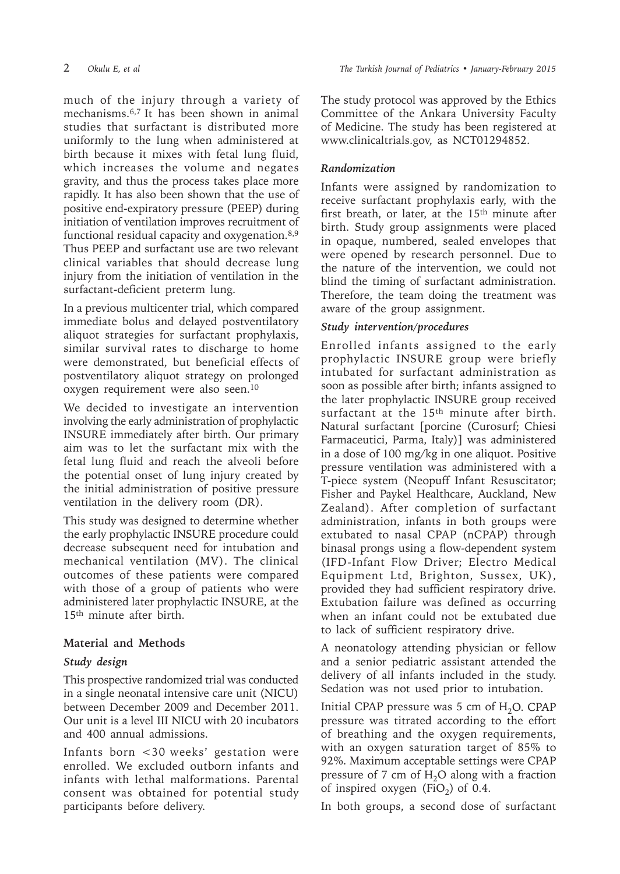much of the injury through a variety of mechanisms.6,7 It has been shown in animal studies that surfactant is distributed more uniformly to the lung when administered at birth because it mixes with fetal lung fluid, which increases the volume and negates gravity, and thus the process takes place more rapidly. It has also been shown that the use of positive end-expiratory pressure (PEEP) during initiation of ventilation improves recruitment of functional residual capacity and oxygenation.8,9 Thus PEEP and surfactant use are two relevant clinical variables that should decrease lung injury from the initiation of ventilation in the surfactant-deficient preterm lung.

In a previous multicenter trial, which compared immediate bolus and delayed postventilatory aliquot strategies for surfactant prophylaxis, similar survival rates to discharge to home were demonstrated, but beneficial effects of postventilatory aliquot strategy on prolonged oxygen requirement were also seen.10

We decided to investigate an intervention involving the early administration of prophylactic INSURE immediately after birth. Our primary aim was to let the surfactant mix with the fetal lung fluid and reach the alveoli before the potential onset of lung injury created by the initial administration of positive pressure ventilation in the delivery room (DR).

This study was designed to determine whether the early prophylactic INSURE procedure could decrease subsequent need for intubation and mechanical ventilation (MV). The clinical outcomes of these patients were compared with those of a group of patients who were administered later prophylactic INSURE, at the 15th minute after birth.

# **Material and Methods**

# *Study design*

This prospective randomized trial was conducted in a single neonatal intensive care unit (NICU) between December 2009 and December 2011. Our unit is a level III NICU with 20 incubators and 400 annual admissions.

Infants born <30 weeks' gestation were enrolled. We excluded outborn infants and infants with lethal malformations. Parental consent was obtained for potential study participants before delivery.

The study protocol was approved by the Ethics Committee of the Ankara University Faculty of Medicine. The study has been registered at www.clinicaltrials.gov, as NCT01294852.

# *Randomization*

Infants were assigned by randomization to receive surfactant prophylaxis early, with the first breath, or later, at the 15<sup>th</sup> minute after birth. Study group assignments were placed in opaque, numbered, sealed envelopes that were opened by research personnel. Due to the nature of the intervention, we could not blind the timing of surfactant administration. Therefore, the team doing the treatment was aware of the group assignment.

# *Study intervention/procedures*

Enrolled infants assigned to the early prophylactic INSURE group were briefly intubated for surfactant administration as soon as possible after birth; infants assigned to the later prophylactic INSURE group received surfactant at the  $15<sup>th</sup>$  minute after birth. Natural surfactant [porcine (Curosurf; Chiesi Farmaceutici, Parma, Italy)] was administered in a dose of 100 mg/kg in one aliquot. Positive pressure ventilation was administered with a T-piece system (Neopuff Infant Resuscitator; Fisher and Paykel Healthcare, Auckland, New Zealand). After completion of surfactant administration, infants in both groups were extubated to nasal CPAP (nCPAP) through binasal prongs using a flow-dependent system (IFD-Infant Flow Driver; Electro Medical Equipment Ltd, Brighton, Sussex, UK), provided they had sufficient respiratory drive. Extubation failure was defined as occurring when an infant could not be extubated due to lack of sufficient respiratory drive.

A neonatology attending physician or fellow and a senior pediatric assistant attended the delivery of all infants included in the study. Sedation was not used prior to intubation.

Initial CPAP pressure was  $5 \text{ cm of H}_2\text{O}$ . CPAP pressure was titrated according to the effort of breathing and the oxygen requirements, with an oxygen saturation target of 85% to 92%. Maximum acceptable settings were CPAP pressure of 7 cm of  $H_2O$  along with a fraction of inspired oxygen (FiO<sub>2</sub>) of 0.4.

In both groups, a second dose of surfactant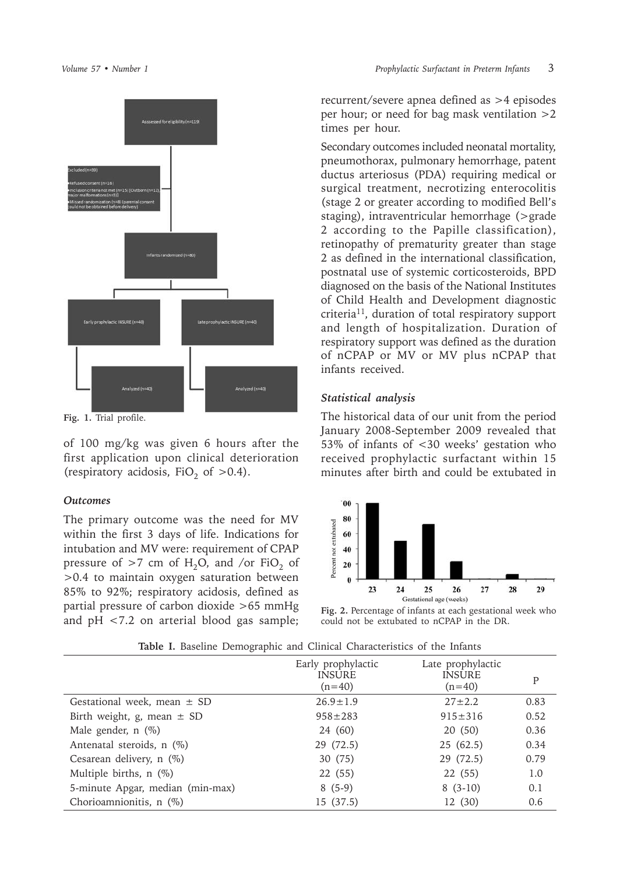

**Fig. 1.** Trial profile.

of 100 mg/kg was given 6 hours after the first application upon clinical deterioration (respiratory acidosis, FiO<sub>2</sub> of  $>0.4$ ).

#### *Outcomes*

The primary outcome was the need for MV within the first 3 days of life. Indications for intubation and MV were: requirement of CPAP pressure of  $>7$  cm of H<sub>2</sub>O, and /or FiO<sub>2</sub> of >0.4 to maintain oxygen saturation between 85% to 92%; respiratory acidosis, defined as partial pressure of carbon dioxide >65 mmHg and pH <7.2 on arterial blood gas sample;

recurrent/severe apnea defined as >4 episodes per hour; or need for bag mask ventilation >2 times per hour.

Secondary outcomes included neonatal mortality, pneumothorax, pulmonary hemorrhage, patent ductus arteriosus (PDA) requiring medical or surgical treatment, necrotizing enterocolitis (stage 2 or greater according to modified Bell's staging), intraventricular hemorrhage (>grade 2 according to the Papille classification), retinopathy of prematurity greater than stage 2 as defined in the international classification, postnatal use of systemic corticosteroids, BPD diagnosed on the basis of the National Institutes of Child Health and Development diagnostic criteria11, duration of total respiratory support and length of hospitalization. Duration of respiratory support was defined as the duration of nCPAP or MV or MV plus nCPAP that infants received.

### *Statistical analysis*

The historical data of our unit from the period January 2008-September 2009 revealed that 53% of infants of <30 weeks' gestation who received prophylactic surfactant within 15 minutes after birth and could be extubated in



**Fig. 2.** Percentage of infants at each gestational week who could not be extubated to nCPAP in the DR.

| <b>Replacement</b> Demographic and Omnear Ondracteribiles of the imaging |                                                 |                                                |      |
|--------------------------------------------------------------------------|-------------------------------------------------|------------------------------------------------|------|
|                                                                          | Early prophylactic<br><b>INSURE</b><br>$(n=40)$ | Late prophylactic<br><b>INSURE</b><br>$(n=40)$ | P    |
| Gestational week, mean $\pm$ SD                                          | $26.9 \pm 1.9$                                  | $27 \pm 2.2$                                   | 0.83 |
| Birth weight, g, mean $\pm$ SD                                           | $958 \pm 283$                                   | $915 \pm 316$                                  | 0.52 |
| Male gender, $n$ $(\%)$                                                  | 24 (60)                                         | 20(50)                                         | 0.36 |
| Antenatal steroids, n (%)                                                | 29 (72.5)                                       | 25(62.5)                                       | 0.34 |
| Cesarean delivery, $n$ (%)                                               | 30 (75)                                         | 29 (72.5)                                      | 0.79 |
| Multiple births, $n$ (%)                                                 | 22 (55)                                         | 22(55)                                         | 1.0  |
| 5-minute Apgar, median (min-max)                                         | $8(5-9)$                                        | $8(3-10)$                                      | 0.1  |
| Chorioamnionitis, n (%)                                                  | 15 (37.5)                                       | 12 (30)                                        | 0.6  |

**Table I.** Baseline Demographic and Clinical Characteristics of the Infants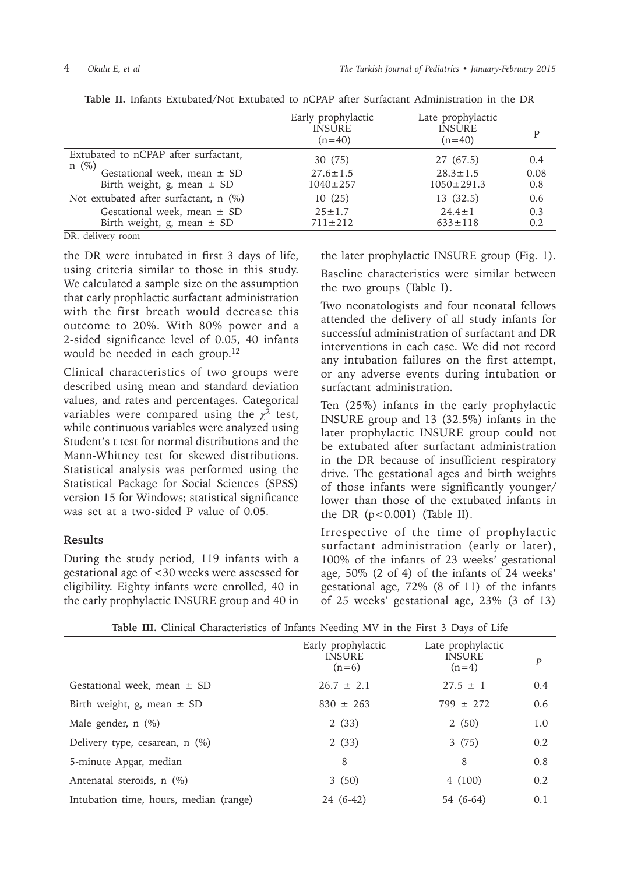|                                                                                     | Early prophylactic<br><b>INSURE</b><br>$(n=40)$ | Late prophylactic<br><b>INSURE</b><br>$(n=40)$ |             |
|-------------------------------------------------------------------------------------|-------------------------------------------------|------------------------------------------------|-------------|
| Extubated to nCPAP after surfactant,<br>$n \ (\%)$                                  | 30 (75)                                         | 27 (67.5)                                      | 0.4         |
| Gestational week, mean $\pm$ SD<br>Birth weight, g, mean $\pm$ SD                   | $27.6 \pm 1.5$<br>$1040 \pm 257$                | $28.3 \pm 1.5$<br>$1050 \pm 291.3$             | 0.08<br>0.8 |
| Not extubated after surfactant, n (%)                                               | 10(25)                                          | 13(32.5)                                       | 0.6         |
| Gestational week, mean $\pm$ SD<br>Birth weight, g, mean $\pm$ SD<br><del>. .</del> | $25 \pm 1.7$<br>$711 \pm 212$                   | $24.4 \pm 1$<br>$633 \pm 118$                  | 0.3<br>0.2  |

**Table II.** Infants Extubated/Not Extubated to nCPAP after Surfactant Administration in the DR

DR. delivery room

the DR were intubated in first 3 days of life, using criteria similar to those in this study. We calculated a sample size on the assumption that early prophlactic surfactant administration with the first breath would decrease this outcome to 20%. With 80% power and a 2-sided significance level of 0.05, 40 infants would be needed in each group.12

Clinical characteristics of two groups were described using mean and standard deviation values, and rates and percentages. Categorical variables were compared using the  $\chi^2$  test, while continuous variables were analyzed using Student's t test for normal distributions and the Mann-Whitney test for skewed distributions. Statistical analysis was performed using the Statistical Package for Social Sciences (SPSS) version 15 for Windows; statistical significance was set at a two-sided P value of 0.05.

#### **Results**

During the study period, 119 infants with a gestational age of <30 weeks were assessed for eligibility. Eighty infants were enrolled, 40 in the early prophylactic INSURE group and 40 in

the later prophylactic INSURE group (Fig. 1). Baseline characteristics were similar between the two groups (Table I).

Two neonatologists and four neonatal fellows attended the delivery of all study infants for successful administration of surfactant and DR interventions in each case. We did not record any intubation failures on the first attempt, or any adverse events during intubation or surfactant administration.

Ten (25%) infants in the early prophylactic INSURE group and 13 (32.5%) infants in the later prophylactic INSURE group could not be extubated after surfactant administration in the DR because of insufficient respiratory drive. The gestational ages and birth weights of those infants were significantly younger/ lower than those of the extubated infants in the DR  $(p<0.001)$  (Table II).

Irrespective of the time of prophylactic surfactant administration (early or later), 100% of the infants of 23 weeks' gestational age, 50% (2 of 4) of the infants of 24 weeks' gestational age, 72% (8 of 11) of the infants of 25 weeks' gestational age, 23% (3 of 13)

|                                        | Early prophylactic<br><b>INSURE</b><br>$(n=6)$ | Late prophylactic<br><b>INSURE</b><br>$(n=4)$ | $\boldsymbol{P}$ |
|----------------------------------------|------------------------------------------------|-----------------------------------------------|------------------|
| Gestational week, mean $\pm$ SD        | $26.7 \pm 2.1$                                 | $27.5 \pm 1$                                  | 0.4              |
| Birth weight, g, mean $\pm$ SD         | $830 \pm 263$                                  | $799 \pm 272$                                 | 0.6              |
| Male gender, $n$ $(\%)$                | 2(33)                                          | 2(50)                                         | 1.0              |
| Delivery type, cesarean, n (%)         | 2(33)                                          | 3(75)                                         | 0.2              |
| 5-minute Apgar, median                 | 8                                              | 8                                             | 0.8              |
| Antenatal steroids, n (%)              | 3(50)                                          | 4(100)                                        | 0.2              |
| Intubation time, hours, median (range) | 24 (6-42)                                      | 54 (6-64)                                     | 0.1              |

**Table III.** Clinical Characteristics of Infants Needing MV in the First 3 Days of Life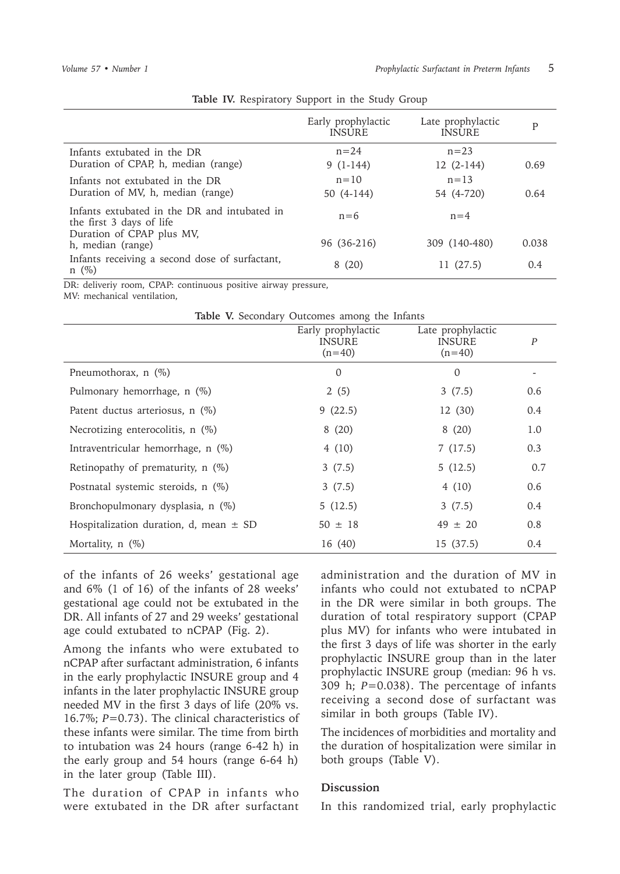|                                                                          | Early prophylactic<br><b>INSURE</b> | Late prophylactic<br><b>INSURE</b> | P     |
|--------------------------------------------------------------------------|-------------------------------------|------------------------------------|-------|
| Infants extubated in the DR<br>Duration of CPAP, h, median (range)       | $n = 24$<br>$9(1-144)$              | $n = 23$<br>$12(2-144)$            | 0.69  |
| Infants not extubated in the DR<br>Duration of MV, h, median (range)     | $n = 10$<br>$50(4-144)$             | $n = 1.3$<br>54 (4-720)            | 0.64  |
| Infants extubated in the DR and intubated in<br>the first 3 days of life | $n=6$                               | $n=4$                              |       |
| Duration of CPAP plus MV,<br>h, median (range)                           | 96 (36-216)                         | 309 (140-480)                      | 0.038 |
| Infants receiving a second dose of surfactant,<br>$n \ (\%)$             | 8(20)                               | 11 (27.5)                          | 0.4   |

**Table IV.** Respiratory Support in the Study Group

DR: deliveriy room, CPAP: continuous positive airway pressure, MV: mechanical ventilation,

| Table V. Secondary Outcomes among the Infants |                                                 |                                                |     |
|-----------------------------------------------|-------------------------------------------------|------------------------------------------------|-----|
|                                               | Early prophylactic<br><b>INSURE</b><br>$(n=40)$ | Late prophylactic<br><b>INSURE</b><br>$(n=40)$ | P   |
| Pneumothorax, $n$ (%)                         | $\Omega$                                        | $\Omega$                                       |     |
| Pulmonary hemorrhage, n (%)                   | 2(5)                                            | 3(7.5)                                         | 0.6 |
| Patent ductus arteriosus, n (%)               | 9(22.5)                                         | 12 (30)                                        | 0.4 |
| Necrotizing enterocolitis, n (%)              | 8(20)                                           | 8(20)                                          | 1.0 |
| Intraventricular hemorrhage, n (%)            | 4 (10)                                          | 7(17.5)                                        | 0.3 |
| Retinopathy of prematurity, $n$ (%)           | 3(7.5)                                          | 5(12.5)                                        | 0.7 |
| Postnatal systemic steroids, n (%)            | 3(7.5)                                          | 4(10)                                          | 0.6 |
| Bronchopulmonary dysplasia, n (%)             | 5(12.5)                                         | 3(7.5)                                         | 0.4 |
| Hospitalization duration, d, mean $\pm$ SD    | $50 \pm 18$                                     | $49 \pm 20$                                    | 0.8 |
| Mortality, $n$ (%)                            | 16 (40)                                         | 15 (37.5)                                      | 0.4 |

of the infants of 26 weeks' gestational age and 6% (1 of 16) of the infants of 28 weeks' gestational age could not be extubated in the DR. All infants of 27 and 29 weeks' gestational age could extubated to nCPAP (Fig. 2).

Among the infants who were extubated to nCPAP after surfactant administration, 6 infants in the early prophylactic INSURE group and 4 infants in the later prophylactic INSURE group needed MV in the first 3 days of life (20% vs. 16.7%; *P*=0.73). The clinical characteristics of these infants were similar. The time from birth to intubation was 24 hours (range 6-42 h) in the early group and 54 hours (range 6-64 h) in the later group (Table III).

The duration of CPAP in infants who were extubated in the DR after surfactant

administration and the duration of MV in infants who could not extubated to nCPAP in the DR were similar in both groups. The duration of total respiratory support (CPAP plus MV) for infants who were intubated in the first 3 days of life was shorter in the early prophylactic INSURE group than in the later prophylactic INSURE group (median: 96 h vs. 309 h; *P*=0.038). The percentage of infants receiving a second dose of surfactant was similar in both groups (Table IV).

The incidences of morbidities and mortality and the duration of hospitalization were similar in both groups (Table V).

### **Discussion**

In this randomized trial, early prophylactic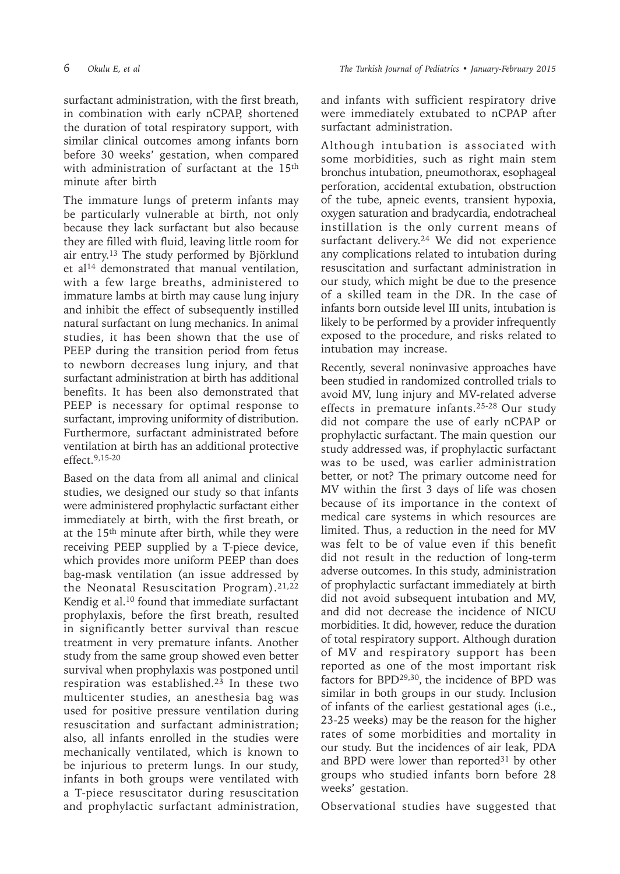surfactant administration, with the first breath, in combination with early nCPAP, shortened the duration of total respiratory support, with similar clinical outcomes among infants born before 30 weeks' gestation, when compared with administration of surfactant at the 15<sup>th</sup> minute after birth

The immature lungs of preterm infants may be particularly vulnerable at birth, not only because they lack surfactant but also because they are filled with fluid, leaving little room for air entry.13 The study performed by Björklund et al<sup>14</sup> demonstrated that manual ventilation, with a few large breaths, administered to immature lambs at birth may cause lung injury and inhibit the effect of subsequently instilled natural surfactant on lung mechanics. In animal studies, it has been shown that the use of PEEP during the transition period from fetus to newborn decreases lung injury, and that surfactant administration at birth has additional benefits. It has been also demonstrated that PEEP is necessary for optimal response to surfactant, improving uniformity of distribution. Furthermore, surfactant administrated before ventilation at birth has an additional protective effect.9,15-20

Based on the data from all animal and clinical studies, we designed our study so that infants were administered prophylactic surfactant either immediately at birth, with the first breath, or at the 15<sup>th</sup> minute after birth, while they were receiving PEEP supplied by a T-piece device, which provides more uniform PEEP than does bag-mask ventilation (an issue addressed by the Neonatal Resuscitation Program).21,22 Kendig et al.10 found that immediate surfactant prophylaxis, before the first breath, resulted in significantly better survival than rescue treatment in very premature infants. Another study from the same group showed even better survival when prophylaxis was postponed until respiration was established.23 In these two multicenter studies, an anesthesia bag was used for positive pressure ventilation during resuscitation and surfactant administration; also, all infants enrolled in the studies were mechanically ventilated, which is known to be injurious to preterm lungs. In our study, infants in both groups were ventilated with a T-piece resuscitator during resuscitation and prophylactic surfactant administration,

and infants with sufficient respiratory drive were immediately extubated to nCPAP after surfactant administration.

Although intubation is associated with some morbidities, such as right main stem bronchus intubation, pneumothorax, esophageal perforation, accidental extubation, obstruction of the tube, apneic events, transient hypoxia, oxygen saturation and bradycardia, endotracheal instillation is the only current means of surfactant delivery.24 We did not experience any complications related to intubation during resuscitation and surfactant administration in our study, which might be due to the presence of a skilled team in the DR. In the case of infants born outside level III units, intubation is likely to be performed by a provider infrequently exposed to the procedure, and risks related to intubation may increase.

Recently, several noninvasive approaches have been studied in randomized controlled trials to avoid MV, lung injury and MV-related adverse effects in premature infants.25-28 Our study did not compare the use of early nCPAP or prophylactic surfactant. The main question our study addressed was, if prophylactic surfactant was to be used, was earlier administration better, or not? The primary outcome need for MV within the first 3 days of life was chosen because of its importance in the context of medical care systems in which resources are limited. Thus, a reduction in the need for MV was felt to be of value even if this benefit did not result in the reduction of long-term adverse outcomes. In this study, administration of prophylactic surfactant immediately at birth did not avoid subsequent intubation and MV, and did not decrease the incidence of NICU morbidities. It did, however, reduce the duration of total respiratory support. Although duration of MV and respiratory support has been reported as one of the most important risk factors for BPD29,30, the incidence of BPD was similar in both groups in our study. Inclusion of infants of the earliest gestational ages (i.e., 23-25 weeks) may be the reason for the higher rates of some morbidities and mortality in our study. But the incidences of air leak, PDA and BPD were lower than reported $31$  by other groups who studied infants born before 28 weeks' gestation.

Observational studies have suggested that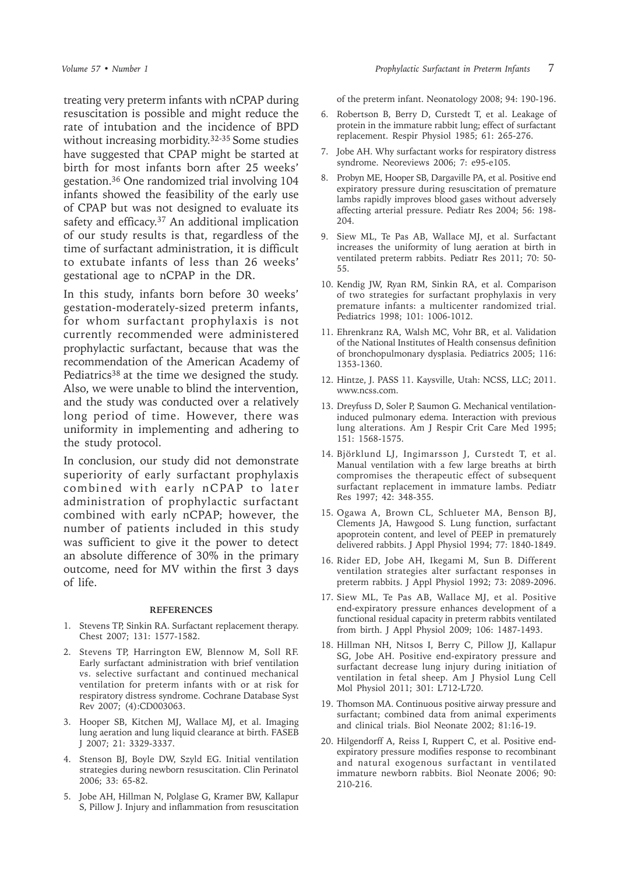treating very preterm infants with nCPAP during resuscitation is possible and might reduce the rate of intubation and the incidence of BPD without increasing morbidity.<sup>32-35</sup> Some studies have suggested that CPAP might be started at birth for most infants born after 25 weeks' gestation.<sup>36</sup> One randomized trial involving 104 infants showed the feasibility of the early use of CPAP but was not designed to evaluate its safety and efficacy.<sup>37</sup> An additional implication of our study results is that, regardless of the time of surfactant administration, it is difficult to extubate infants of less than 26 weeks' gestational age to nCPAP in the DR.

In this study, infants born before 30 weeks' gestation-moderately-sized preterm infants, for whom surfactant prophylaxis is not currently recommended were administered prophylactic surfactant, because that was the recommendation of the American Academy of Pediatrics<sup>38</sup> at the time we designed the study. Also, we were unable to blind the intervention, and the study was conducted over a relatively long period of time. However, there was uniformity in implementing and adhering to the study protocol.

In conclusion, our study did not demonstrate superiority of early surfactant prophylaxis combined with early nCPAP to later administration of prophylactic surfactant combined with early nCPAP; however, the number of patients included in this study was sufficient to give it the power to detect an absolute difference of 30% in the primary outcome, need for MV within the first 3 days of life.

#### **REFERENCES**

- 1. Stevens TP, Sinkin RA. Surfactant replacement therapy. Chest 2007; 131: 1577-1582.
- 2. Stevens TP, Harrington EW, Blennow M, Soll RF. Early surfactant administration with brief ventilation vs. selective surfactant and continued mechanical ventilation for preterm infants with or at risk for respiratory distress syndrome. Cochrane Database Syst Rev 2007; (4):CD003063.
- 3. Hooper SB, Kitchen MJ, Wallace MJ, et al. Imaging lung aeration and lung liquid clearance at birth. FASEB J 2007; 21: 3329-3337.
- 4. Stenson BJ, Boyle DW, Szyld EG. Initial ventilation strategies during newborn resuscitation. Clin Perinatol 2006; 33: 65-82.
- 5. Jobe AH, Hillman N, Polglase G, Kramer BW, Kallapur S, Pillow J. Injury and inflammation from resuscitation

of the preterm infant. Neonatology 2008; 94: 190-196.

- 6. Robertson B, Berry D, Curstedt T, et al. Leakage of protein in the immature rabbit lung; effect of surfactant replacement. Respir Physiol 1985; 61: 265-276.
- 7. Jobe AH. Why surfactant works for respiratory distress syndrome. Neoreviews 2006; 7: e95-e105.
- 8. Probyn ME, Hooper SB, Dargaville PA, et al. Positive end expiratory pressure during resuscitation of premature lambs rapidly improves blood gases without adversely affecting arterial pressure. Pediatr Res 2004; 56: 198- 204.
- 9. Siew ML, Te Pas AB, Wallace MJ, et al. Surfactant increases the uniformity of lung aeration at birth in ventilated preterm rabbits. Pediatr Res 2011; 70: 50- 55.
- 10. Kendig JW, Ryan RM, Sinkin RA, et al. Comparison of two strategies for surfactant prophylaxis in very premature infants: a multicenter randomized trial. Pediatrics 1998; 101: 1006-1012.
- 11. Ehrenkranz RA, Walsh MC, Vohr BR, et al. Validation of the National Institutes of Health consensus definition of bronchopulmonary dysplasia. Pediatrics 2005; 116: 1353-1360.
- 12. Hintze, J. PASS 11. Kaysville, Utah: NCSS, LLC; 2011. www.ncss.com.
- 13. Dreyfuss D, Soler P, Saumon G. Mechanical ventilationinduced pulmonary edema. Interaction with previous lung alterations. Am J Respir Crit Care Med 1995; 151: 1568-1575.
- 14. Björklund LJ, Ingimarsson J, Curstedt T, et al. Manual ventilation with a few large breaths at birth compromises the therapeutic effect of subsequent surfactant replacement in immature lambs. Pediatr Res 1997; 42: 348-355.
- 15. Ogawa A, Brown CL, Schlueter MA, Benson BJ, Clements JA, Hawgood S. Lung function, surfactant apoprotein content, and level of PEEP in prematurely delivered rabbits. J Appl Physiol 1994; 77: 1840-1849.
- 16. Rider ED, Jobe AH, Ikegami M, Sun B. Different ventilation strategies alter surfactant responses in preterm rabbits. J Appl Physiol 1992; 73: 2089-2096.
- 17. Siew ML, Te Pas AB, Wallace MJ, et al. Positive end-expiratory pressure enhances development of a functional residual capacity in preterm rabbits ventilated from birth. J Appl Physiol 2009; 106: 1487-1493.
- 18. Hillman NH, Nitsos I, Berry C, Pillow JJ, Kallapur SG, Jobe AH. Positive end-expiratory pressure and surfactant decrease lung injury during initiation of ventilation in fetal sheep. Am J Physiol Lung Cell Mol Physiol 2011; 301: L712-L720.
- 19. Thomson MA. Continuous positive airway pressure and surfactant; combined data from animal experiments and clinical trials. Biol Neonate 2002; 81:16-19.
- 20. Hilgendorff A, Reiss I, Ruppert C, et al. Positive endexpiratory pressure modifies response to recombinant and natural exogenous surfactant in ventilated immature newborn rabbits. Biol Neonate 2006; 90: 210-216.